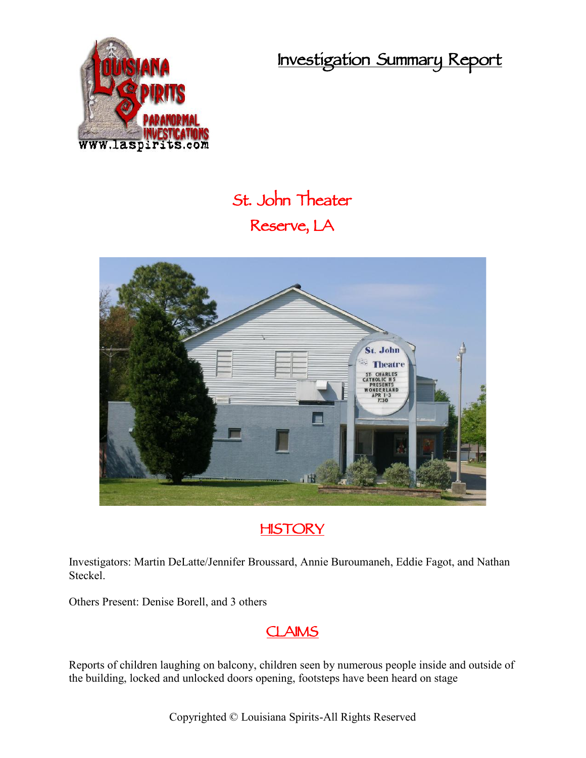**Investigation Summary Report**



## **St. John Theater Reserve, LA**

# St. John **Theatre ARLES** . fk



Investigators: Martin DeLatte/Jennifer Broussard, Annie Buroumaneh, Eddie Fagot, and Nathan Steckel.

Others Present: Denise Borell, and 3 others

### **CLAIMS**

Reports of children laughing on balcony, children seen by numerous people inside and outside of the building, locked and unlocked doors opening, footsteps have been heard on stage

Copyrighted © Louisiana Spirits-All Rights Reserved